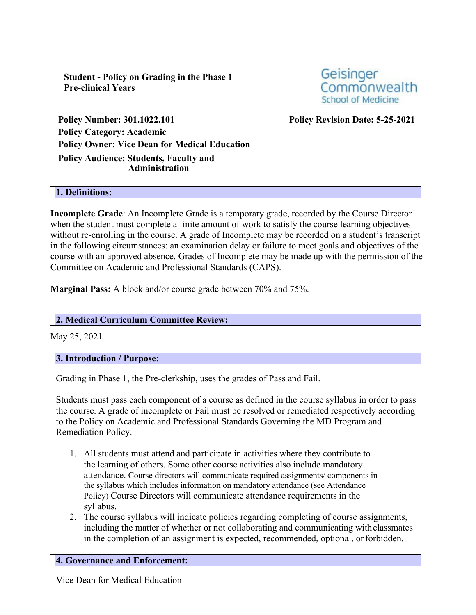**Student - Policy on Grading in the Phase 1 Pre-clinical Years**



**Policy Number: 301.1022.101 Policy Revision Date: 5-25-2021 Policy Category: Academic Policy Owner: Vice Dean for Medical Education Policy Audience: Students, Faculty and**

## **Administration**

### **1. Definitions:**

**Incomplete Grade**: An Incomplete Grade is a temporary grade, recorded by the Course Director when the student must complete a finite amount of work to satisfy the course learning objectives without re-enrolling in the course. A grade of Incomplete may be recorded on a student's transcript in the following circumstances: an examination delay or failure to meet goals and objectives of the course with an approved absence. Grades of Incomplete may be made up with the permission of the Committee on Academic and Professional Standards (CAPS).

**Marginal Pass:** A block and/or course grade between 70% and 75%.

## **2. Medical Curriculum Committee Review:**

May 25, 2021

## **3. Introduction / Purpose:**

Grading in Phase 1, the Pre-clerkship, uses the grades of Pass and Fail.

Students must pass each component of a course as defined in the course syllabus in order to pass the course. A grade of incomplete or Fail must be resolved or remediated respectively according to the Policy on Academic and Professional Standards Governing the MD Program and Remediation Policy.

- 1. All students must attend and participate in activities where they contribute to the learning of others. Some other course activities also include mandatory attendance. Course directors will communicate required assignments/ components in the syllabus which includes information on mandatory attendance (see Attendance Policy) Course Directors will communicate attendance requirements in the syllabus.
- 2. The course syllabus will indicate policies regarding completing of course assignments, including the matter of whether or not collaborating and communicating withclassmates in the completion of an assignment is expected, recommended, optional, or forbidden.

## **4. Governance and Enforcement:**

Vice Dean for Medical Education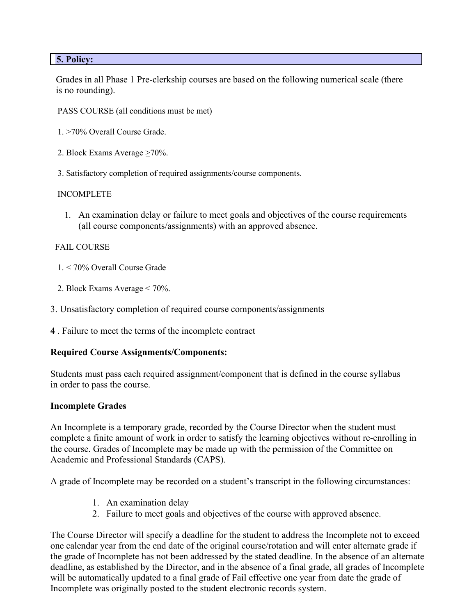## **5. Policy:**

Grades in all Phase 1 Pre-clerkship courses are based on the following numerical scale (there is no rounding).

- PASS COURSE (all conditions must be met)
- 1. >70% Overall Course Grade.
- 2. Block Exams Average  $\geq 70\%$ .
- 3. Satisfactory completion of required assignments/course components.

#### INCOMPLETE

1. An examination delay or failure to meet goals and objectives of the course requirements (all course components/assignments) with an approved absence.

#### FAIL COURSE

- 1. < 70% Overall Course Grade
- 2. Block Exams Average < 70%.
- 3. Unsatisfactory completion of required course components/assignments
- **4** . Failure to meet the terms of the incomplete contract

## **Required Course Assignments/Components:**

Students must pass each required assignment/component that is defined in the course syllabus in order to pass the course.

#### **Incomplete Grades**

An Incomplete is a temporary grade, recorded by the Course Director when the student must complete a finite amount of work in order to satisfy the learning objectives without re-enrolling in the course. Grades of Incomplete may be made up with the permission of the Committee on Academic and Professional Standards (CAPS).

A grade of Incomplete may be recorded on a student's transcript in the following circumstances:

- 1. An examination delay
- 2. Failure to meet goals and objectives of the course with approved absence.

The Course Director will specify a deadline for the student to address the Incomplete not to exceed one calendar year from the end date of the original course/rotation and will enter alternate grade if the grade of Incomplete has not been addressed by the stated deadline. In the absence of an alternate deadline, as established by the Director, and in the absence of a final grade, all grades of Incomplete will be automatically updated to a final grade of Fail effective one year from date the grade of Incomplete was originally posted to the student electronic records system.